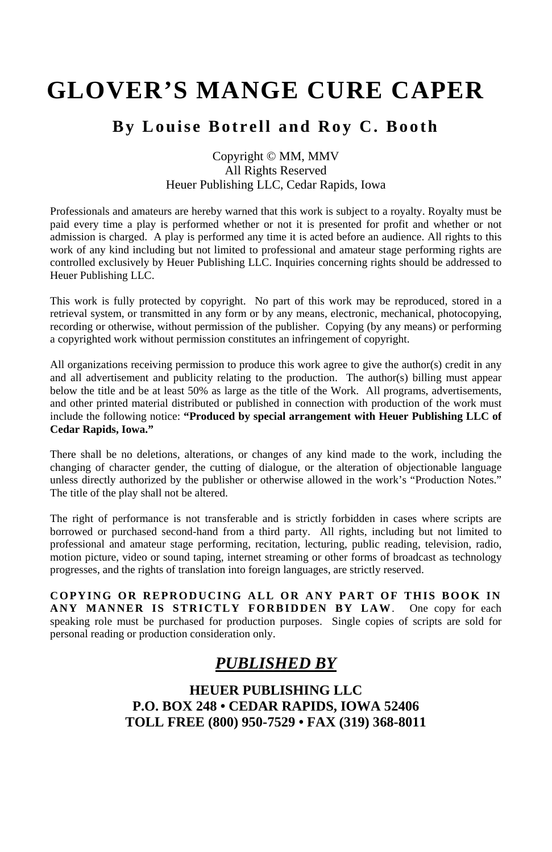# **GLOVER'S MANGE CURE CAPER**

### **By Louise Botrell and Roy C. Booth**

#### Copyright © MM, MMV All Rights Reserved Heuer Publishing LLC, Cedar Rapids, Iowa

Professionals and amateurs are hereby warned that this work is subject to a royalty. Royalty must be paid every time a play is performed whether or not it is presented for profit and whether or not admission is charged. A play is performed any time it is acted before an audience. All rights to this work of any kind including but not limited to professional and amateur stage performing rights are controlled exclusively by Heuer Publishing LLC. Inquiries concerning rights should be addressed to Heuer Publishing LLC.

This work is fully protected by copyright. No part of this work may be reproduced, stored in a retrieval system, or transmitted in any form or by any means, electronic, mechanical, photocopying, recording or otherwise, without permission of the publisher. Copying (by any means) or performing a copyrighted work without permission constitutes an infringement of copyright.

All organizations receiving permission to produce this work agree to give the author(s) credit in any and all advertisement and publicity relating to the production. The author(s) billing must appear below the title and be at least 50% as large as the title of the Work. All programs, advertisements, and other printed material distributed or published in connection with production of the work must include the following notice: **"Produced by special arrangement with Heuer Publishing LLC of Cedar Rapids, Iowa."**

There shall be no deletions, alterations, or changes of any kind made to the work, including the changing of character gender, the cutting of dialogue, or the alteration of objectionable language unless directly authorized by the publisher or otherwise allowed in the work's "Production Notes." The title of the play shall not be altered.

The right of performance is not transferable and is strictly forbidden in cases where scripts are borrowed or purchased second-hand from a third party. All rights, including but not limited to professional and amateur stage performing, recitation, lecturing, public reading, television, radio, motion picture, video or sound taping, internet streaming or other forms of broadcast as technology progresses, and the rights of translation into foreign languages, are strictly reserved.

**COPYING OR REPRODUCING ALL OR ANY PART OF THIS BOOK IN ANY MANNER IS STRICTLY FORBIDDEN BY LAW**. One copy for each speaking role must be purchased for production purposes. Single copies of scripts are sold for personal reading or production consideration only.

## *PUBLISHED BY*

**HEUER PUBLISHING LLC P.O. BOX 248 • CEDAR RAPIDS, IOWA 52406 TOLL FREE (800) 950-7529 • FAX (319) 368-8011**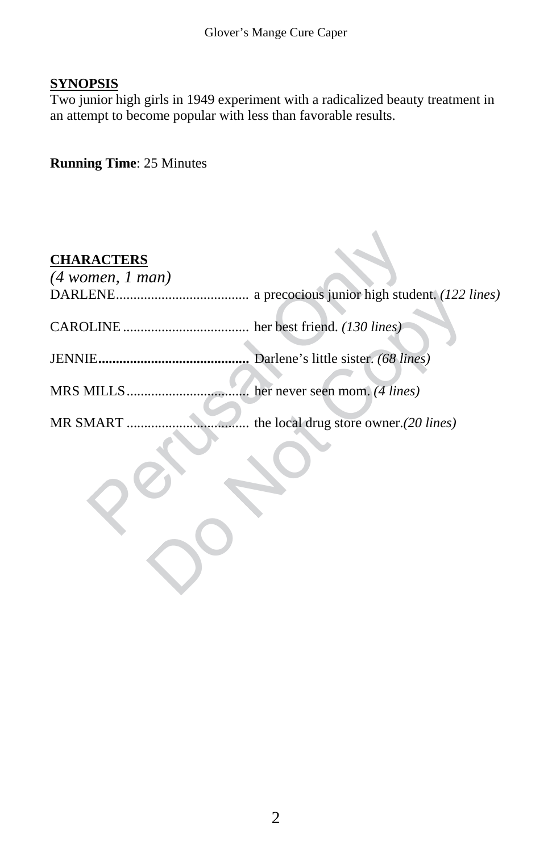#### **SYNOPSIS**

Two junior high girls in 1949 experiment with a radicalized beauty treatment in an attempt to become popular with less than favorable results.

#### **Running Time**: 25 Minutes

# ENE<br>
MERE<br>
ENE<br>
ENE<br>
ENE<br>
ENE<br>
ENE<br>
DLINE<br>
DLINE<br>
DENE<br>
DENE<br>
DENE<br>
DENE<br>
DENE<br>
DENE<br>
DENE<br>
DENE<br>
DENE<br>
DENE<br>
DENE<br>
DENE<br>
DENE<br>
DENE<br>
DENE<br>
DENE<br>
DENE<br>
DENE<br>
DENE<br>
DENE<br>
DENE<br>
DENE<br>
DENE<br>
DENE<br>
DENE<br>
DENE<br>
DENE<br>
DENE<br>
DENE a precocious junior high student. (122 l **CHARACTERS** *(4 women, 1 man)* DARLENE...................................... a precocious junior high student. *(122 lines)* CAROLINE .................................... her best friend. *(130 lines)* JENNIE**...........................................** Darlene's little sister. *(68 lines)* MRS MILLS................................... her never seen mom. *(4 lines)* MR SMART ................................... the local drug store owner.*(20 lines)*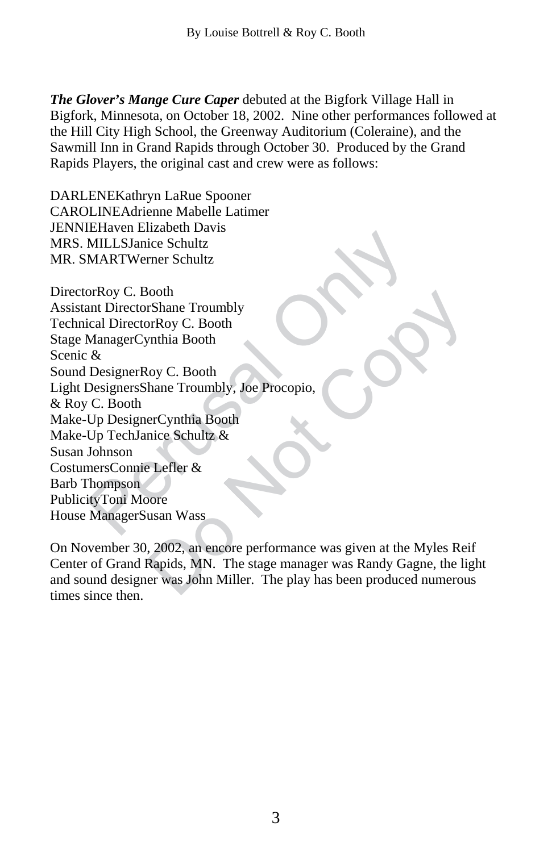*The Glover's Mange Cure Caper* debuted at the Bigfork Village Hall in Bigfork, Minnesota, on October 18, 2002. Nine other performances followed at the Hill City High School, the Greenway Auditorium (Coleraine), and the Sawmill Inn in Grand Rapids through October 30. Produced by the Grand Rapids Players, the original cast and crew were as follows:

DARLENEKathryn LaRue Spooner CAROLINE Adrienne Mabelle Latimer JENNIEHaven Elizabeth Davis MRS. MILLSJanice Schultz MR. SMARTWerner Schultz

MILLSJanice Schultz<br>
MILLSJanice Schultz<br>
MARTWerner Schultz<br>
orRoy C. Booth<br>
ant DirectorRoy C. Booth<br>
ManagerCynthia Booth<br>
&<br>
DesignerRoy C. Booth<br>
C. Booth<br>
Up DesignerCynthia Booth<br>
Up DesignerCynthia Booth<br>
Up TechJa FShane Troumbly<br>
rc Shane Troumbly, Joe Procopio,<br>
erCynthia Booth<br>
hane Troumbly, Joe Procopio,<br>
erCynthia Booth<br>
nice Schultz &<br>
E Lefler &<br>
Dore<br>
usan Wass<br>
, 2002, an encore performance was given at the Myles Rei<br>
Rapi DirectorRoy C. Booth Assistant DirectorShane Troumbly Technical DirectorRoy C. Booth Stage ManagerCynthia Booth Scenic & Sound DesignerRoy C. Booth Light DesignersShane Troumbly, Joe Procopio, & Roy C. Booth Make-Up DesignerCynthia Booth Make-Up TechJanice Schultz & Susan Johnson CostumersConnie Lefler & Barb Thompson PublicityToni Moore House ManagerSusan Wass

On November 30, 2002, an encore performance was given at the Myles Reif Center of Grand Rapids, MN. The stage manager was Randy Gagne, the light and sound designer was John Miller. The play has been produced numerous times since then.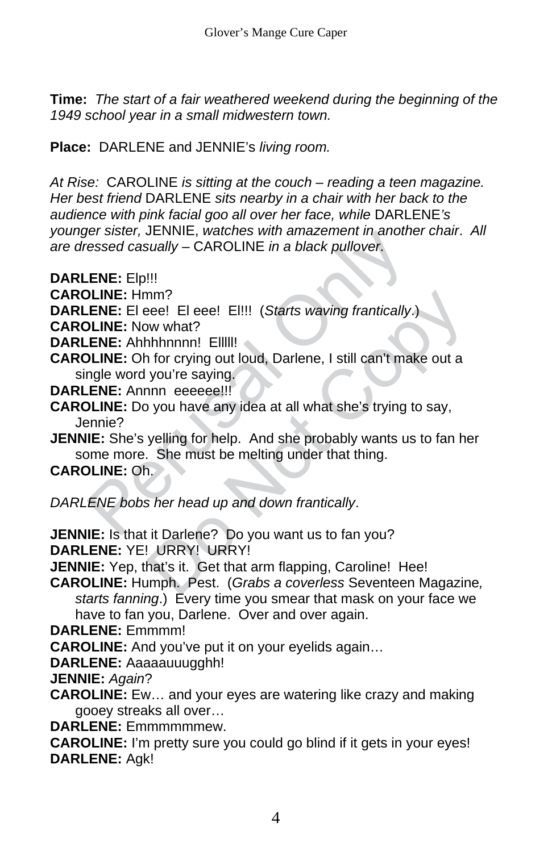**Time:** *The start of a fair weathered weekend during the beginning of the 1949 school year in a small midwestern town.* 

**Place:** DARLENE and JENNIE's *living room.*

*At Rise:* CAROLINE *is sitting at the couch – reading a teen magazine. Her best friend* DARLENE *sits nearby in a chair with her back to the audience with pink facial goo all over her face, while* DARLENE*'s younger sister,* JENNIE, *watches with amazement in another chair*. *All are dressed casually* – CAROLINE *in a black pullover*.

- **DARLENE:** Elp!!!
- **CAROLINE:** Hmm?
- **DARLENE:** El eee! El eee! El!!! (*Starts waving frantically*.)
- **CAROLINE:** Now what?
- **DARLENE:** Ahhhhnnnn! Elllll!
- **CAROLINE:** Oh for crying out loud, Darlene, I still can't make out a single word you're saying.
- **DARLENE:** Annnn eeeeee!!!
- **CAROLINE:** Do you have any idea at all what she's trying to say, Jennie?
- For sister, JENNIFE, watches with analyzement in another<br>essed casually CAROLINE in a black pullover.<br> **ENE:** Elp!!!<br>
JLINE: Hmm?<br>
JLINE: Now what?<br> **ENE:** Ahhhhnnnl EllIII!<br>
JLINE: Oh for crying out loud, Darlene, I sti nm?<br>
Nee! El eee! El!!! (*Starts waving frantically.*)<br>
w what?<br>
nhnnnn! Ellll!<br>
of for crying out loud, Darlene, I still can't make out a<br>
you're saying.<br>
nnn eeeee!!!<br>
you have any idea at all what she's trying to say,<br> **JENNIE:** She's yelling for help. And she probably wants us to fan her some more. She must be melting under that thing.

#### **CAROLINE:** Oh.

*DARLENE bobs her head up and down frantically*.

**JENNIE:** Is that it Darlene? Do you want us to fan you? **DARLENE:** YE! URRY! URRY!

**JENNIE:** Yep, that's it. Get that arm flapping, Caroline! Hee!

**CAROLINE:** Humph. Pest. (*Grabs a coverless* Seventeen Magazine*, starts fanning*.) Every time you smear that mask on your face we have to fan you, Darlene. Over and over again.

**DARLENE:** Emmmm!

**CAROLINE:** And you've put it on your eyelids again…

**DARLENE:** Aaaaauuugghh!

**JENNIE:** *Again*?

**CAROLINE:** Ew… and your eyes are watering like crazy and making gooey streaks all over…

**DARLENE:** Emmmmmmew.

**CAROLINE:** I'm pretty sure you could go blind if it gets in your eyes! **DARLENE:** Agk!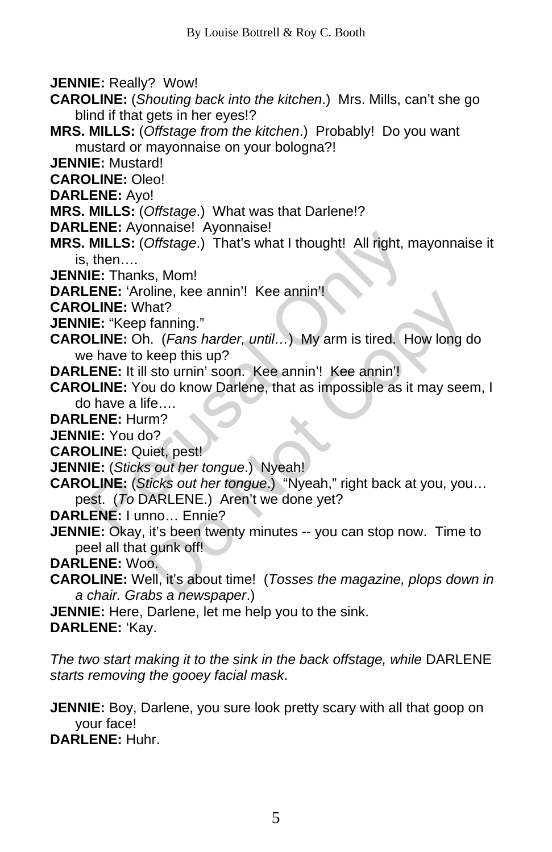**JENNIE:** Really? Wow!

- **CAROLINE:** (*Shouting back into the kitchen*.) Mrs. Mills, can't she go blind if that gets in her eyes!?
- **MRS. MILLS:** (*Offstage from the kitchen*.) Probably! Do you want mustard or mayonnaise on your bologna?!
- **JENNIE:** Mustard!
- **CAROLINE:** Oleo!
- **DARLENE:** Ayo!
- **MRS. MILLS:** (*Offstage*.) What was that Darlene!?
- **DARLENE:** Ayonnaise! Ayonnaise!
- **MRS. MILLS:** (*Offstage*.) That's what I thought! All right, mayonnaise it is, then….
- **JENNIE:** Thanks, Mom!
- **DARLENE:** 'Aroline, kee annin'! Kee annin'!
- **CAROLINE:** What?
- **JENNIE:** "Keep fanning."
- **CAROLINE:** Oh. (*Fans harder, until…*) My arm is tired. How long do we have to keep this up?
- **DARLENE:** It ill sto urnin' soon. Kee annin'! Kee annin'!
- **EXECT:** (Offstage.) That's what I thought! All right, m<br> **MILLS:** (Offstage.) That's what I thought! All right, m<br> **IE:** Thanks, Mom!<br> **ENE:** 'Aroline, kee annin'! Kee annin'!<br> **IE:** "Keep fanning."<br> **IE:** "Keep fanning." **CAROLINE:** You do know Darlene, that as impossible as it may seem, I do have a life….

**DARLENE:** Hurm?

- **JENNIE:** You do?
- **CAROLINE:** Quiet, pest!
- **JENNIE:** (*Sticks out her tongue*.) Nyeah!
- **CAROLINE:** (*Sticks out her tongue*.) "Nyeah," right back at you, you… pest. (*To* DARLENE.) Aren't we done yet?
- **DARLENE:** I unno… Ennie?
- bline, kee annin ! Nee annin !<br>
hat?<br>
fanning."<br>
1. (*Fans harder, until...*) My arm is tired. How long d<br>
keep this up?<br>
sto urnin' soon. Kee annin'! Kee annin'!<br>
uu do know Darlene, that as impossible as it may seen<br>
fe. **JENNIE:** Okay, it's been twenty minutes -- you can stop now. Time to peel all that gunk off!
- **DARLENE:** Woo.
- **CAROLINE:** Well, it's about time! (*Tosses the magazine, plops down in a chair. Grabs a newspaper*.)
- **JENNIE:** Here, Darlene, let me help you to the sink.

**DARLENE:** 'Kay.

*The two start making it to the sink in the back offstage, while* DARLENE *starts removing the gooey facial mask*.

**JENNIE:** Boy, Darlene, you sure look pretty scary with all that goop on your face!

**DARLENE:** Huhr.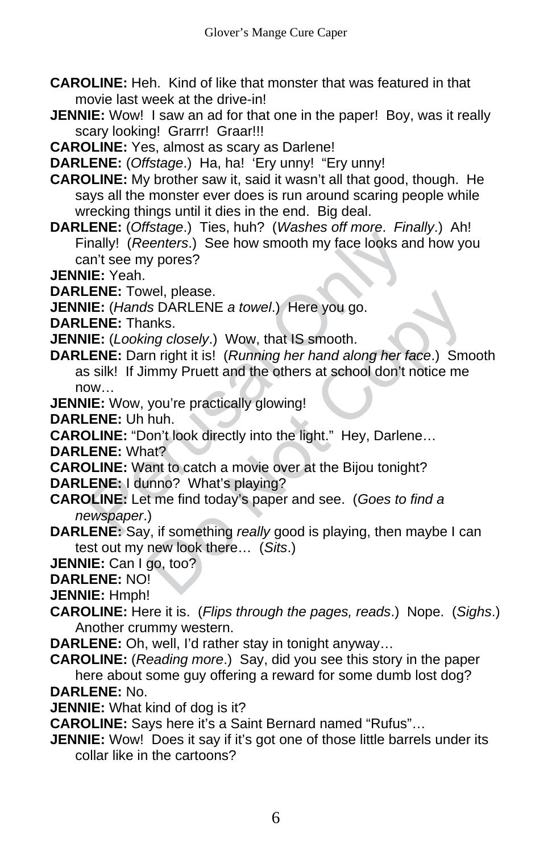**CAROLINE:** Heh. Kind of like that monster that was featured in that movie last week at the drive-in!

**JENNIE:** Wow! I saw an ad for that one in the paper! Boy, was it really scary looking! Grarrr! Graar!!!

**CAROLINE:** Yes, almost as scary as Darlene!

**DARLENE:** (*Offstage*.) Ha, ha! 'Ery unny! "Ery unny!

**CAROLINE:** My brother saw it, said it wasn't all that good, though. He says all the monster ever does is run around scaring people while wrecking things until it dies in the end. Big deal.

**DARLENE:** (*Offstage*.) Ties, huh? (*Washes off more*. *Finally*.) Ah! Finally! (*Reenters*.) See how smooth my face looks and how you can't see my pores?

**JENNIE:** Yeah.

**DARLENE:** Towel, please.

**JENNIE:** (*Hands* DARLENE *a towel*.) Here you go.

**DARLENE:** Thanks.

**JENNIE:** (*Looking closely*.) Wow, that IS smooth.

ENE: Unity of Mathematics of Medical Cheen the Bigureton<br>
Inally! (Reenters.) See how smooth my face looks and<br>
In the emy pores?<br>
IE: Yeah.<br>
ENE: Towel, please.<br>
IE: (*Hands DARLENE a towel.*) Here you go.<br>
ENE: Thanks.<br> Wel, piease.<br>
Is DARLENE a towel.) Here you go.<br>
ins cince of the smooth.<br>
In right it is! (*Running her hand along her face.*) Smo<br>
immy Pruett and the others at school don't notice me<br>
you're practically glowing!<br>
huh.<br> **DARLENE:** Darn right it is! (*Running her hand along her face*.) Smooth as silk! If Jimmy Pruett and the others at school don't notice me now…

**JENNIE:** Wow, you're practically glowing!

**DARLENE:** Uh huh.

**CAROLINE:** "Don't look directly into the light." Hey, Darlene…

**DARLENE:** What?

**CAROLINE:** Want to catch a movie over at the Bijou tonight?

**DARLENE:** I dunno? What's playing?

- **CAROLINE:** Let me find today's paper and see. (*Goes to find a newspaper*.)
- **DARLENE:** Say, if something *really* good is playing, then maybe I can test out my new look there… (*Sits*.)

**JENNIE:** Can I go, too?

**DARLENE:** NO!

**JENNIE:** Hmph!

**CAROLINE:** Here it is. (*Flips through the pages, reads*.) Nope. (*Sighs*.) Another crummy western.

**DARLENE:** Oh, well, I'd rather stay in tonight anyway…

**CAROLINE:** (*Reading more*.) Say, did you see this story in the paper here about some guy offering a reward for some dumb lost dog? **DARLENE:** No.

**JENNIE:** What kind of dog is it?

**CAROLINE:** Says here it's a Saint Bernard named "Rufus"…

**JENNIE:** Wow! Does it say if it's got one of those little barrels under its collar like in the cartoons?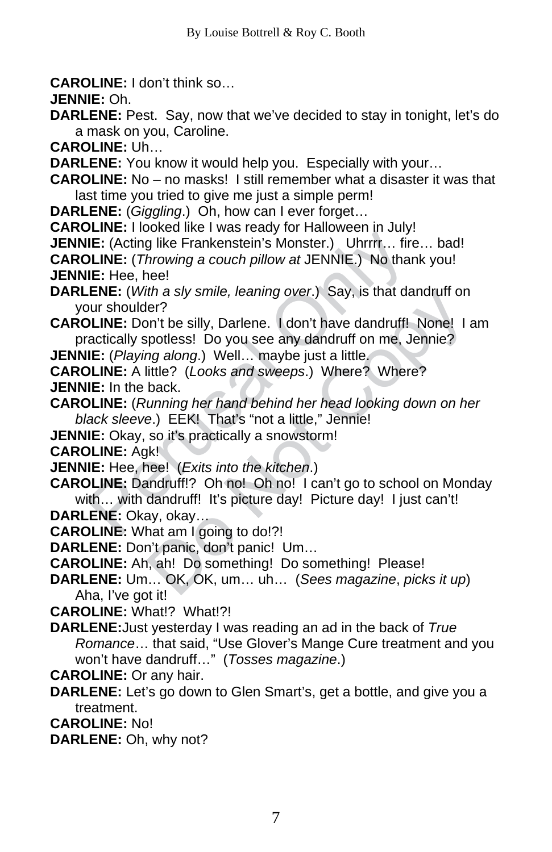**CAROLINE:** I don't think so…

**JENNIE:** Oh.

**DARLENE:** Pest. Say, now that we've decided to stay in tonight, let's do a mask on you, Caroline.

**CAROLINE:** Uh…

**DARLENE:** You know it would help you. Especially with your…

**CAROLINE:** No – no masks! I still remember what a disaster it was that last time you tried to give me just a simple perm!

**DARLENE:** (*Giggling*.) Oh, how can I ever forget…

**CAROLINE:** I looked like I was ready for Halloween in July!

**JENNIE:** (Acting like Frankenstein's Monster.) Uhrrrr… fire… bad!

**CAROLINE:** (*Throwing a couch pillow at* JENNIE.) No thank you! **JENNIE:** Hee, hee!

**DARLENE:** (*With a sly smile, leaning over*.) Say, is that dandruff on your shoulder?

**CAROLINE:** Don't be silly, Darlene. I don't have dandruff! None! I am practically spotless! Do you see any dandruff on me, Jennie?

**JENNIE:** (*Playing along*.) Well… maybe just a little.

**CAROLINE:** A little? (*Looks and sweeps*.) Where? Where? **JENNIE:** In the back.

**CAROLINE:** (*Running her hand behind her head looking down on her black sleeve*.) EEK! That's "not a little," Jennie!

**JENNIE:** Okay, so it's practically a snowstorm!

**CAROLINE:** Agk!

**JENNIE:** Hee, hee! (*Exits into the kitchen*.)

**EXECT:** To word and The Mandron Through The Castroline: (Acting like Frankenstein's Monster.) Uhrrr... fire<br> **DE:** (Acting like Frankenstein's Monster.) Uhrrr... fire<br> **DE:** (Acting like Frankenstein's Monster.) Uhrrr... that a siy smile, learning over.) Say, is that dandrun on<br>er?<br>m't be silly, Darlene. I don't have dandruff! None! I apptiess! Do you see any dandruff on me, Jennie?<br>ittle? (Looks and sweeps.) Where? Where?<br>back.<br>bunning he **CAROLINE:** Dandruff!? Oh no! Oh no! I can't go to school on Monday with... with dandruff! It's picture day! Picture day! I just can't! **DARLENE:** Okay, okay…

**CAROLINE:** What am I going to do!?!

**DARLENE:** Don't panic, don't panic! Um…

**CAROLINE:** Ah, ah! Do something! Do something! Please!

**DARLENE:** Um… OK, OK, um… uh… (*Sees magazine*, *picks it up*) Aha, I've got it!

**CAROLINE:** What!? What!?!

**DARLENE:**Just yesterday I was reading an ad in the back of *True Romance*… that said, "Use Glover's Mange Cure treatment and you won't have dandruff…" (*Tosses magazine*.)

**CAROLINE:** Or any hair.

**DARLENE:** Let's go down to Glen Smart's, get a bottle, and give you a treatment.

**CAROLINE:** No!

**DARLENE:** Oh, why not?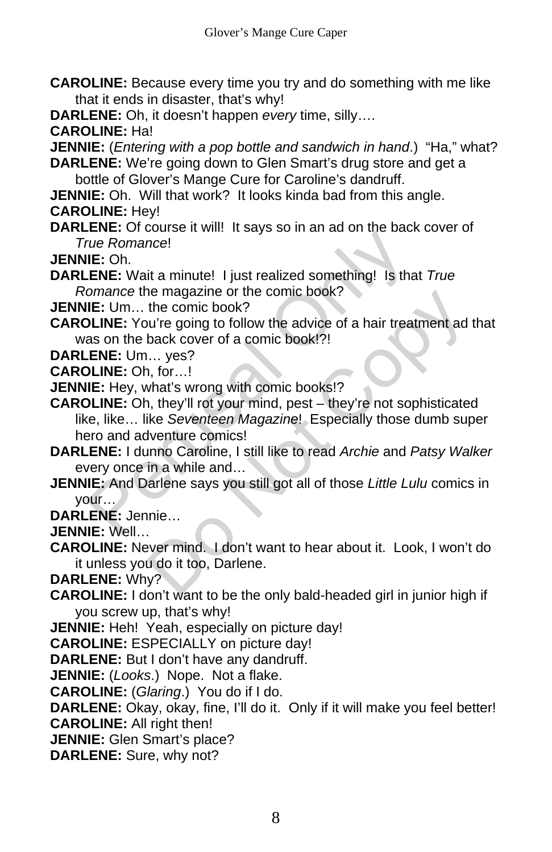**CAROLINE:** Because every time you try and do something with me like that it ends in disaster, that's why!

**DARLENE:** Oh, it doesn't happen *every* time, silly….

**CAROLINE:** Ha!

**JENNIE:** (*Entering with a pop bottle and sandwich in hand*.) "Ha," what? **DARLENE:** We're going down to Glen Smart's drug store and get a

bottle of Glover's Mange Cure for Caroline's dandruff.

**JENNIE:** Oh. Will that work? It looks kinda bad from this angle.

**CAROLINE:** Hey!

**DARLENE:** Of course it will! It says so in an ad on the back cover of *True Romance*!

**JENNIE:** Oh.

**DARLENE:** Wait a minute! I just realized something! Is that *True Romance* the magazine or the comic book?

**JENNIE:** Um… the comic book?

**CAROLINE:** You're going to follow the advice of a hair treatment ad that was on the back cover of a comic book!?!

**DARLENE:** Um… yes?

**CAROLINE:** Oh, for…!

**JENNIE:** Hey, what's wrong with comic books!?

EVERT: Unit of School and School and School and School and School and School II: Oh.<br>
LERE: Wait a minute! I just realized something! Is that omance the magazine or the comic book?<br>
IE: Um... the comic book?<br>
IE: Um... the The magazine of the comic book?<br>
the comic book?<br>
the comic book?<br>
the comic book?<br>
the comic book!?!<br>
that's wrong with comic books!?<br>
that's wrong with comic books!?<br>
that's wrong with comic books!?<br>
i, they'll rot your **CAROLINE:** Oh, they'll rot your mind, pest – they're not sophisticated like, like… like *Seventeen Magazine*! Especially those dumb super hero and adventure comics!

- **DARLENE:** I dunno Caroline, I still like to read *Archie* and *Patsy Walker* every once in a while and…
- **JENNIE:** And Darlene says you still got all of those *Little Lulu* comics in your…
- **DARLENE:** Jennie…

**JENNIE:** Well…

**CAROLINE:** Never mind. I don't want to hear about it. Look, I won't do it unless you do it too, Darlene.

**DARLENE:** Why?

**CAROLINE:** I don't want to be the only bald-headed girl in junior high if you screw up, that's why!

**JENNIE:** Heh! Yeah, especially on picture day!

**CAROLINE:** ESPECIALLY on picture day!

**DARLENE:** But I don't have any dandruff.

**JENNIE:** (*Looks*.) Nope. Not a flake.

**CAROLINE:** (*Glaring*.) You do if I do.

**DARLENE:** Okay, okay, fine, I'll do it. Only if it will make you feel better! **CAROLINE:** All right then!

**JENNIE:** Glen Smart's place?

**DARLENE:** Sure, why not?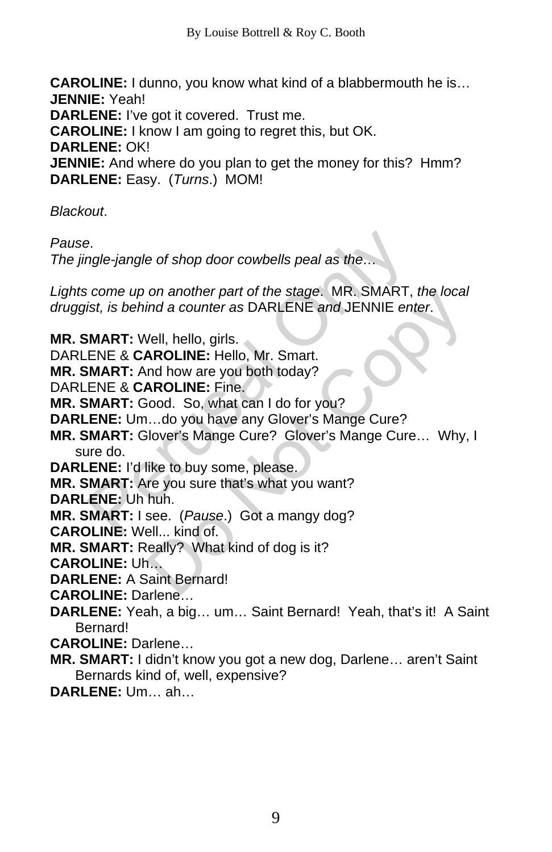**CAROLINE:** I dunno, you know what kind of a blabbermouth he is… **JENNIE:** Yeah! **DARLENE:** I've got it covered. Trust me. **CAROLINE:** I know I am going to regret this, but OK. **DARLENE:** OK! **JENNIE:** And where do you plan to get the money for this? Hmm? **DARLENE:** Easy. (*Turns*.) MOM!

*Blackout*.

*Pause*.

*The jingle-jangle of shop door cowbells peal as the…*

*Lights come up on another part of the stage*. MR. SMART, *the local druggist, is behind a counter as* DARLENE *and* JENNIE *enter*.

example-jangle of shop door cowbells peal as the...<br>
i come up on another part of the stage. MR. SMART,<br>
ist, is behind a counter as DARLENE and JENNIE ent<br> **iMART:** Well, hello, girls.<br> **ENE & CAROLINE:** Hello, Mr. Smart. on another part of the stage. MK. SMART, the local<br>ind a counter as DARLENE and JENNIE enter.<br>Vell, hello, girls.<br>**AROLINE:** Hello, Mr. Smart.<br>**AROLINE:** Fine.<br>**AROLINE:** Fine.<br>iood. So, what can I do for you?<br>...do you ha **MR. SMART:** Well, hello, girls. DARLENE & **CAROLINE:** Hello, Mr. Smart. **MR. SMART:** And how are you both today? DARLENE & **CAROLINE:** Fine. **MR. SMART:** Good. So, what can I do for you? **DARLENE:** Um…do you have any Glover's Mange Cure? **MR. SMART:** Glover's Mange Cure? Glover's Mange Cure… Why, I sure do. **DARLENE:** I'd like to buy some, please. **MR. SMART:** Are you sure that's what you want? **DARLENE:** Uh huh. **MR. SMART:** I see. (*Pause*.) Got a mangy dog? **CAROLINE:** Well... kind of. **MR. SMART:** Really? What kind of dog is it? **CAROLINE:** Uh… **DARLENE:** A Saint Bernard! **CAROLINE:** Darlene… **DARLENE:** Yeah, a big… um… Saint Bernard! Yeah, that's it! A Saint Bernard! **CAROLINE:** Darlene… **MR. SMART:** I didn't know you got a new dog, Darlene… aren't Saint Bernards kind of, well, expensive?

**DARLENE:** Um… ah…